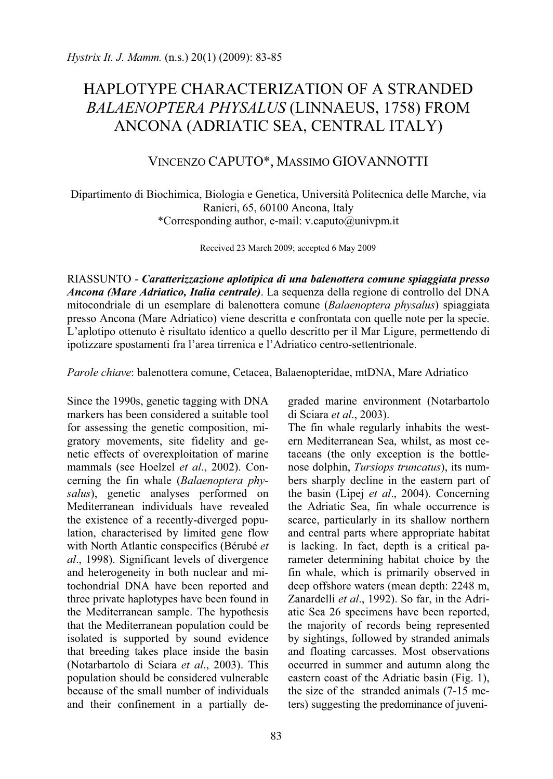## HAPLOTYPE CHARACTERIZATION OF A STRANDED *BALAENOPTERA PHYSALUS* (LINNAEUS, 1758) FROM ANCONA (ADRIATIC SEA, CENTRAL ITALY)

## VINCENZO CAPUTO\*, MASSIMO GIOVANNOTTI

Dipartimento di Biochimica, Biologia e Genetica, Università Politecnica delle Marche, via Ranieri, 65, 60100 Ancona, Italy \*Corresponding author, e-mail: v.caputo@univpm.it

Received 23 March 2009; accepted 6 May 2009

RIASSUNTO - *Caratterizzazione aplotipica di una balenottera comune spiaggiata presso Ancona (Mare Adriatico, Italia centrale)*. La sequenza della regione di controllo del DNA mitocondriale di un esemplare di balenottera comune (*Balaenoptera physalus*) spiaggiata presso Ancona (Mare Adriatico) viene descritta e confrontata con quelle note per la specie. L'aplotipo ottenuto è risultato identico a quello descritto per il Mar Ligure, permettendo di ipotizzare spostamenti fra l'area tirrenica e l'Adriatico centro-settentrionale.

*Parole chiave*: balenottera comune, Cetacea, Balaenopteridae, mtDNA, Mare Adriatico

Since the 1990s, genetic tagging with DNA markers has been considered a suitable tool for assessing the genetic composition, migratory movements, site fidelity and genetic effects of overexploitation of marine mammals (see Hoelzel *et al*., 2002). Concerning the fin whale (*Balaenoptera physalus*), genetic analyses performed on Mediterranean individuals have revealed the existence of a recently-diverged population, characterised by limited gene flow with North Atlantic conspecifics (Bérubé *et al*., 1998). Significant levels of divergence and heterogeneity in both nuclear and mitochondrial DNA have been reported and three private haplotypes have been found in the Mediterranean sample. The hypothesis that the Mediterranean population could be isolated is supported by sound evidence that breeding takes place inside the basin (Notarbartolo di Sciara *et al*., 2003). This population should be considered vulnerable because of the small number of individuals and their confinement in a partially degraded marine environment (Notarbartolo di Sciara *et al*., 2003).

The fin whale regularly inhabits the western Mediterranean Sea, whilst, as most cetaceans (the only exception is the bottlenose dolphin, *Tursiops truncatus*), its numbers sharply decline in the eastern part of the basin (Lipej *et al*., 2004). Concerning the Adriatic Sea, fin whale occurrence is scarce, particularly in its shallow northern and central parts where appropriate habitat is lacking. In fact, depth is a critical parameter determining habitat choice by the fin whale, which is primarily observed in deep offshore waters (mean depth: 2248 m, Zanardelli *et al*., 1992). So far, in the Adriatic Sea 26 specimens have been reported, the majority of records being represented by sightings, followed by stranded animals and floating carcasses. Most observations occurred in summer and autumn along the eastern coast of the Adriatic basin (Fig. 1), the size of the stranded animals (7-15 meters) suggesting the predominance of juveni-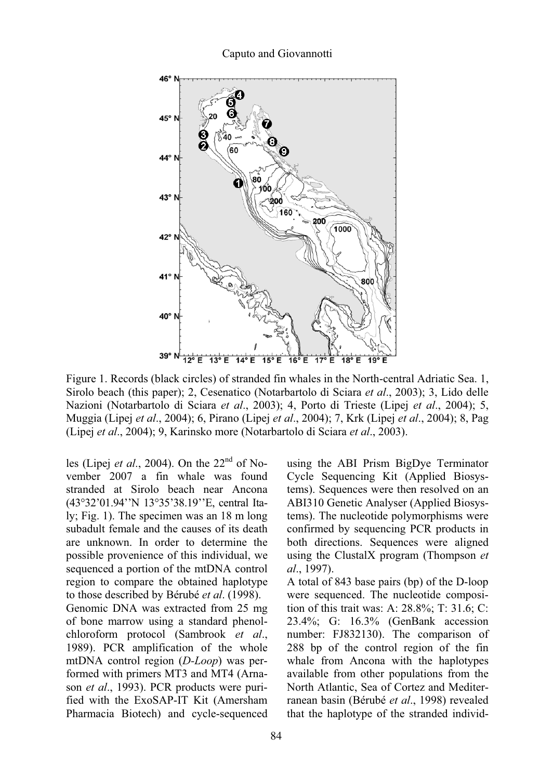

Figure 1. Records (black circles) of stranded fin whales in the North-central Adriatic Sea. 1, Sirolo beach (this paper); 2, Cesenatico (Notarbartolo di Sciara *et al*., 2003); 3, Lido delle Nazioni (Notarbartolo di Sciara *et al*., 2003); 4, Porto di Trieste (Lipej *et al*., 2004); 5, Muggia (Lipej *et al*., 2004); 6, Pirano (Lipej *et al*., 2004); 7, Krk (Lipej *et al*., 2004); 8, Pag (Lipej *et al*., 2004); 9, Karinsko more (Notarbartolo di Sciara *et al*., 2003).

les (Lipej *et al*., 2004). On the 22nd of November 2007 a fin whale was found stranded at Sirolo beach near Ancona (43°32'01.94''N 13°35'38.19''E, central Italy; Fig. 1). The specimen was an 18 m long subadult female and the causes of its death are unknown. In order to determine the possible provenience of this individual, we sequenced a portion of the mtDNA control region to compare the obtained haplotype to those described by Bérubé *et al*. (1998).

Genomic DNA was extracted from 25 mg of bone marrow using a standard phenolchloroform protocol (Sambrook *et al*., 1989). PCR amplification of the whole mtDNA control region (*D-Loop*) was performed with primers MT3 and MT4 (Arnason *et al*., 1993). PCR products were purified with the ExoSAP-IT Kit (Amersham Pharmacia Biotech) and cycle-sequenced using the ABI Prism BigDye Terminator Cycle Sequencing Kit (Applied Biosystems). Sequences were then resolved on an ABI310 Genetic Analyser (Applied Biosystems). The nucleotide polymorphisms were confirmed by sequencing PCR products in both directions. Sequences were aligned using the ClustalX program (Thompson *et al*., 1997).

A total of 843 base pairs (bp) of the D-loop were sequenced. The nucleotide composition of this trait was: A: 28.8%; T: 31.6; C: 23.4%; G: 16.3% (GenBank accession number: FJ832130). The comparison of 288 bp of the control region of the fin whale from Ancona with the haplotypes available from other populations from the North Atlantic, Sea of Cortez and Mediterranean basin (Bérubé *et al*., 1998) revealed that the haplotype of the stranded individ